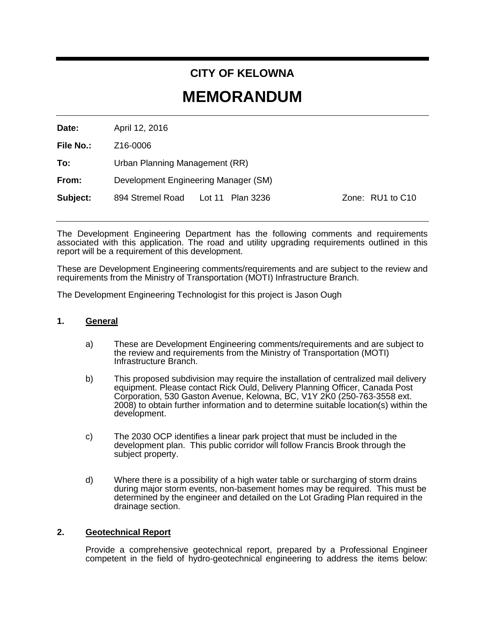# **CITY OF KELOWNA**

# **MEMORANDUM**

**Date:** April 12, 2016

**File No.:** Z16-0006

**To:** Urban Planning Management (RR)

**From:** Development Engineering Manager (SM)

**Subject:** 894 Stremel Road Lot 11 Plan 3236 Zone: RU1 to C10

The Development Engineering Department has the following comments and requirements associated with this application. The road and utility upgrading requirements outlined in this report will be a requirement of this development.

These are Development Engineering comments/requirements and are subject to the review and requirements from the Ministry of Transportation (MOTI) Infrastructure Branch.

The Development Engineering Technologist for this project is Jason Ough

## **1. General**

- a) These are Development Engineering comments/requirements and are subject to the review and requirements from the Ministry of Transportation (MOTI) Infrastructure Branch.
- b) This proposed subdivision may require the installation of centralized mail delivery equipment. Please contact Rick Ould, Delivery Planning Officer, Canada Post Corporation, 530 Gaston Avenue, Kelowna, BC, V1Y 2K0 (250-763-3558 ext. 2008) to obtain further information and to determine suitable location(s) within the development.
- c) The 2030 OCP identifies a linear park project that must be included in the development plan. This public corridor will follow Francis Brook through the subject property.
- d) Where there is a possibility of a high water table or surcharging of storm drains during major storm events, non-basement homes may be required. This must be determined by the engineer and detailed on the Lot Grading Plan required in the drainage section.

## **2. Geotechnical Report**

Provide a comprehensive geotechnical report, prepared by a Professional Engineer competent in the field of hydro-geotechnical engineering to address the items below: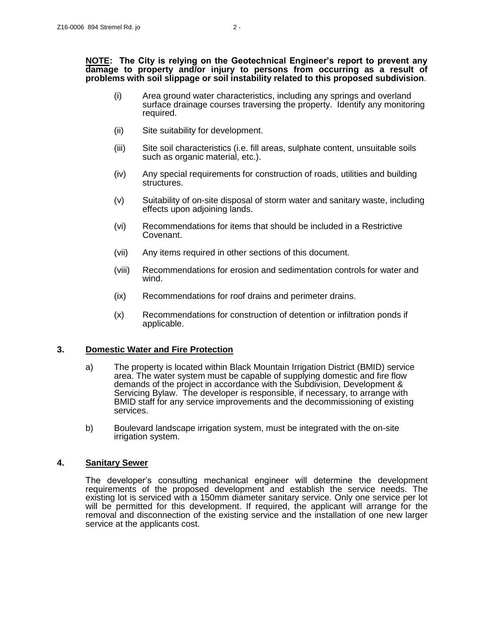#### **NOTE: The City is relying on the Geotechnical Engineer's report to prevent any damage to property and/or injury to persons from occurring as a result of problems with soil slippage or soil instability related to this proposed subdivision**.

- (i) Area ground water characteristics, including any springs and overland surface drainage courses traversing the property. Identify any monitoring required.
- (ii) Site suitability for development.
- (iii) Site soil characteristics (i.e. fill areas, sulphate content, unsuitable soils such as organic material, etc.).
- (iv) Any special requirements for construction of roads, utilities and building structures.
- (v) Suitability of on-site disposal of storm water and sanitary waste, including effects upon adjoining lands.
- (vi) Recommendations for items that should be included in a Restrictive Covenant.
- (vii) Any items required in other sections of this document.
- (viii) Recommendations for erosion and sedimentation controls for water and wind.
- (ix) Recommendations for roof drains and perimeter drains.
- (x) Recommendations for construction of detention or infiltration ponds if applicable.

#### **3. Domestic Water and Fire Protection**

- a) The property is located within Black Mountain Irrigation District (BMID) service area. The water system must be capable of supplying domestic and fire flow demands of the project in accordance with the Subdivision, Development & Servicing Bylaw. The developer is responsible, if necessary, to arrange with BMID staff for any service improvements and the decommissioning of existing services.
- b) Boulevard landscape irrigation system, must be integrated with the on-site irrigation system.

## **4. Sanitary Sewer**

The developer's consulting mechanical engineer will determine the development requirements of the proposed development and establish the service needs. The existing lot is serviced with a 150mm diameter sanitary service. Only one service per lot will be permitted for this development. If required, the applicant will arrange for the removal and disconnection of the existing service and the installation of one new larger service at the applicants cost.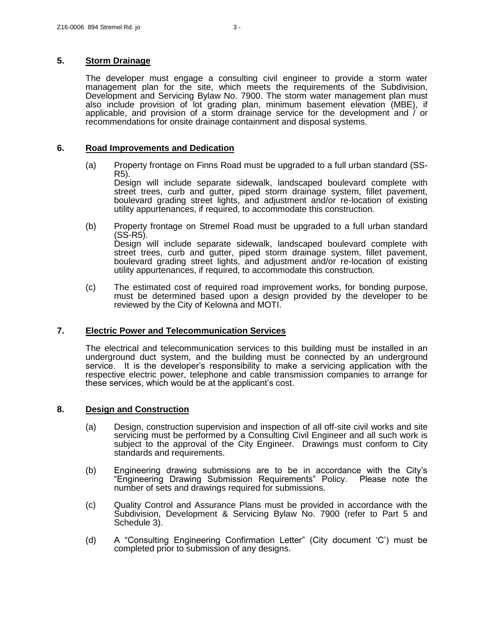## **5. Storm Drainage**

The developer must engage a consulting civil engineer to provide a storm water management plan for the site, which meets the requirements of the Subdivision, Development and Servicing Bylaw No. 7900. The storm water management plan must also include provision of lot grading plan, minimum basement elevation (MBE), if applicable, and provision of a storm drainage service for the development and / or recommendations for onsite drainage containment and disposal systems.

#### **6. Road Improvements and Dedication**

(a) Property frontage on Finns Road must be upgraded to a full urban standard (SS-R5).

Design will include separate sidewalk, landscaped boulevard complete with street trees, curb and gutter, piped storm drainage system, fillet pavement, boulevard grading street lights, and adjustment and/or re-location of existing utility appurtenances, if required, to accommodate this construction.

- (b) Property frontage on Stremel Road must be upgraded to a full urban standard (SS-R5). Design will include separate sidewalk, landscaped boulevard complete with street trees, curb and gutter, piped storm drainage system, fillet pavement, boulevard grading street lights, and adjustment and/or re-location of existing utility appurtenances, if required, to accommodate this construction.
- (c) The estimated cost of required road improvement works, for bonding purpose, must be determined based upon a design provided by the developer to be reviewed by the City of Kelowna and MOTI.

## **7. Electric Power and Telecommunication Services**

The electrical and telecommunication services to this building must be installed in an underground duct system, and the building must be connected by an underground service. It is the developer's responsibility to make a servicing application with the respective electric power, telephone and cable transmission companies to arrange for these services, which would be at the applicant's cost.

## **8. Design and Construction**

- (a) Design, construction supervision and inspection of all off-site civil works and site servicing must be performed by a Consulting Civil Engineer and all such work is subject to the approval of the City Engineer. Drawings must conform to City standards and requirements.
- (b) Engineering drawing submissions are to be in accordance with the City's "Engineering Drawing Submission Requirements" Policy. Please note the number of sets and drawings required for submissions.
- (c) Quality Control and Assurance Plans must be provided in accordance with the Subdivision, Development & Servicing Bylaw No. 7900 (refer to Part 5 and Schedule 3).
- (d) A "Consulting Engineering Confirmation Letter" (City document 'C') must be completed prior to submission of any designs.